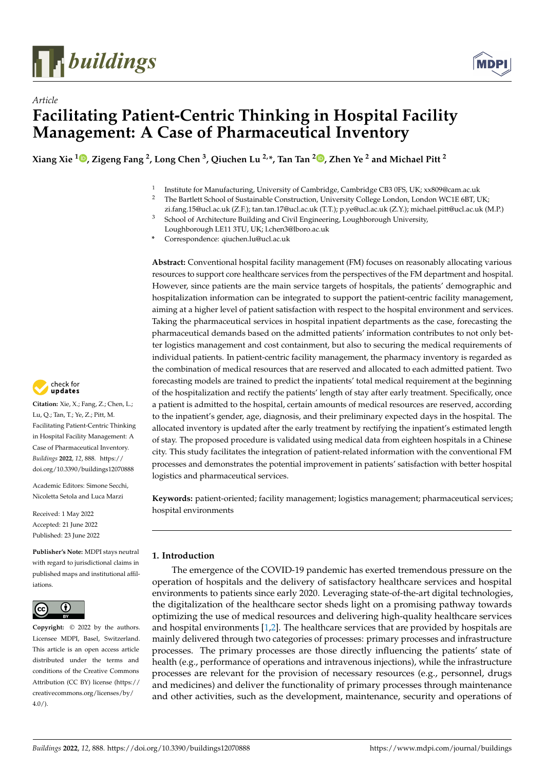



# *Article* **Facilitating Patient-Centric Thinking in Hospital Facility Management: A Case of Pharmaceutical Inventory**

**Xiang Xie <sup>1</sup> [,](https://orcid.org/0000-0003-4601-9519) Zigeng Fang <sup>2</sup> , Long Chen <sup>3</sup> , Qiuchen Lu 2,\*, Tan Tan <sup>2</sup> [,](https://orcid.org/0000-0002-3374-8299) Zhen Ye <sup>2</sup> and Michael Pitt <sup>2</sup>**

- 1 Institute for Manufacturing, University of Cambridge, Cambridge CB3 0FS, UK; xx809@cam.ac.uk
- <sup>2</sup> The Bartlett School of Sustainable Construction, University College London, London WC1E 6BT, UK;
- zi.fang.15@ucl.ac.uk (Z.F.); tan.tan.17@ucl.ac.uk (T.T.); p.ye@ucl.ac.uk (Z.Y.); michael.pitt@ucl.ac.uk (M.P.)
- <sup>3</sup> School of Architecture Building and Civil Engineering, Loughborough University,
- Loughborough LE11 3TU, UK; l.chen3@lboro.ac.uk **\*** Correspondence: qiuchen.lu@ucl.ac.uk

**Abstract:** Conventional hospital facility management (FM) focuses on reasonably allocating various resources to support core healthcare services from the perspectives of the FM department and hospital. However, since patients are the main service targets of hospitals, the patients' demographic and hospitalization information can be integrated to support the patient-centric facility management, aiming at a higher level of patient satisfaction with respect to the hospital environment and services. Taking the pharmaceutical services in hospital inpatient departments as the case, forecasting the pharmaceutical demands based on the admitted patients' information contributes to not only better logistics management and cost containment, but also to securing the medical requirements of individual patients. In patient-centric facility management, the pharmacy inventory is regarded as the combination of medical resources that are reserved and allocated to each admitted patient. Two forecasting models are trained to predict the inpatients' total medical requirement at the beginning of the hospitalization and rectify the patients' length of stay after early treatment. Specifically, once a patient is admitted to the hospital, certain amounts of medical resources are reserved, according to the inpatient's gender, age, diagnosis, and their preliminary expected days in the hospital. The allocated inventory is updated after the early treatment by rectifying the inpatient's estimated length of stay. The proposed procedure is validated using medical data from eighteen hospitals in a Chinese city. This study facilitates the integration of patient-related information with the conventional FM processes and demonstrates the potential improvement in patients' satisfaction with better hospital logistics and pharmaceutical services.

**Keywords:** patient-oriented; facility management; logistics management; pharmaceutical services; hospital environments

# **1. Introduction**

The emergence of the COVID-19 pandemic has exerted tremendous pressure on the operation of hospitals and the delivery of satisfactory healthcare services and hospital environments to patients since early 2020. Leveraging state-of-the-art digital technologies, the digitalization of the healthcare sector sheds light on a promising pathway towards optimizing the use of medical resources and delivering high-quality healthcare services and hospital environments [\[1,](#page-15-0)[2\]](#page-15-1). The healthcare services that are provided by hospitals are mainly delivered through two categories of processes: primary processes and infrastructure processes. The primary processes are those directly influencing the patients' state of health (e.g., performance of operations and intravenous injections), while the infrastructure processes are relevant for the provision of necessary resources (e.g., personnel, drugs and medicines) and deliver the functionality of primary processes through maintenance and other activities, such as the development, maintenance, security and operations of



**Citation:** Xie, X.; Fang, Z.; Chen, L.; Lu, Q.; Tan, T.; Ye, Z.; Pitt, M. Facilitating Patient-Centric Thinking in Hospital Facility Management: A Case of Pharmaceutical Inventory. *Buildings* **2022**, *12*, 888. [https://](https://doi.org/10.3390/buildings12070888) [doi.org/10.3390/buildings12070888](https://doi.org/10.3390/buildings12070888)

Academic Editors: Simone Secchi, Nicoletta Setola and Luca Marzi

Received: 1 May 2022 Accepted: 21 June 2022 Published: 23 June 2022

**Publisher's Note:** MDPI stays neutral with regard to jurisdictional claims in published maps and institutional affiliations.



**Copyright:** © 2022 by the authors. Licensee MDPI, Basel, Switzerland. This article is an open access article distributed under the terms and conditions of the Creative Commons Attribution (CC BY) license [\(https://](https://creativecommons.org/licenses/by/4.0/) [creativecommons.org/licenses/by/](https://creativecommons.org/licenses/by/4.0/)  $4.0/$ ).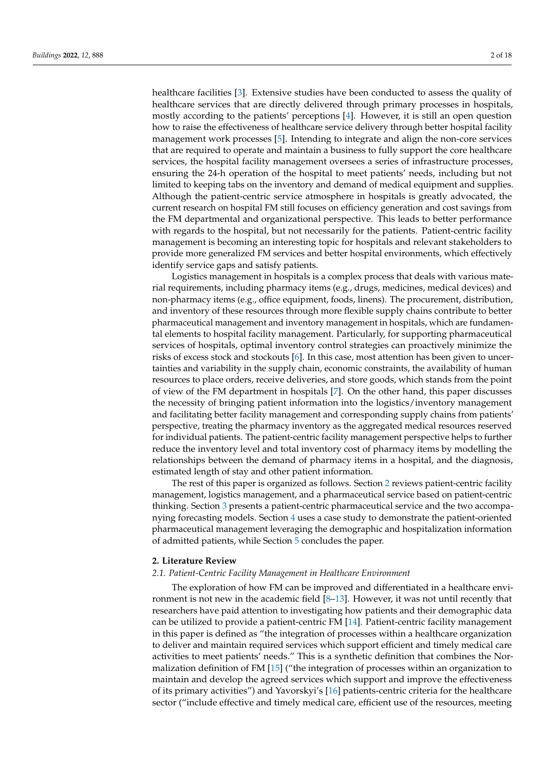healthcare facilities [\[3\]](#page-15-2). Extensive studies have been conducted to assess the quality of healthcare services that are directly delivered through primary processes in hospitals, mostly according to the patients' perceptions [\[4\]](#page-15-3). However, it is still an open question how to raise the effectiveness of healthcare service delivery through better hospital facility management work processes [\[5\]](#page-15-4). Intending to integrate and align the non-core services that are required to operate and maintain a business to fully support the core healthcare services, the hospital facility management oversees a series of infrastructure processes, ensuring the 24-h operation of the hospital to meet patients' needs, including but not limited to keeping tabs on the inventory and demand of medical equipment and supplies. Although the patient-centric service atmosphere in hospitals is greatly advocated, the current research on hospital FM still focuses on efficiency generation and cost savings from the FM departmental and organizational perspective. This leads to better performance with regards to the hospital, but not necessarily for the patients. Patient-centric facility management is becoming an interesting topic for hospitals and relevant stakeholders to provide more generalized FM services and better hospital environments, which effectively identify service gaps and satisfy patients.

Logistics management in hospitals is a complex process that deals with various material requirements, including pharmacy items (e.g., drugs, medicines, medical devices) and non-pharmacy items (e.g., office equipment, foods, linens). The procurement, distribution, and inventory of these resources through more flexible supply chains contribute to better pharmaceutical management and inventory management in hospitals, which are fundamental elements to hospital facility management. Particularly, for supporting pharmaceutical services of hospitals, optimal inventory control strategies can proactively minimize the risks of excess stock and stockouts [\[6\]](#page-15-5). In this case, most attention has been given to uncertainties and variability in the supply chain, economic constraints, the availability of human resources to place orders, receive deliveries, and store goods, which stands from the point of view of the FM department in hospitals [\[7\]](#page-15-6). On the other hand, this paper discusses the necessity of bringing patient information into the logistics/inventory management and facilitating better facility management and corresponding supply chains from patients' perspective, treating the pharmacy inventory as the aggregated medical resources reserved for individual patients. The patient-centric facility management perspective helps to further reduce the inventory level and total inventory cost of pharmacy items by modelling the relationships between the demand of pharmacy items in a hospital, and the diagnosis, estimated length of stay and other patient information.

The rest of this paper is organized as follows. Section [2](#page-1-0) reviews patient-centric facility management, logistics management, and a pharmaceutical service based on patient-centric thinking. Section [3](#page-4-0) presents a patient-centric pharmaceutical service and the two accompanying forecasting models. Section [4](#page-6-0) uses a case study to demonstrate the patient-oriented pharmaceutical management leveraging the demographic and hospitalization information of admitted patients, while Section [5](#page-14-0) concludes the paper.

#### <span id="page-1-0"></span>**2. Literature Review**

### *2.1. Patient-Centric Facility Management in Healthcare Environment*

The exploration of how FM can be improved and differentiated in a healthcare environment is not new in the academic field  $[8-13]$  $[8-13]$ . However, it was not until recently that researchers have paid attention to investigating how patients and their demographic data can be utilized to provide a patient-centric FM [\[14\]](#page-16-1). Patient-centric facility management in this paper is defined as "the integration of processes within a healthcare organization to deliver and maintain required services which support efficient and timely medical care activities to meet patients' needs." This is a synthetic definition that combines the Normalization definition of FM [\[15\]](#page-16-2) ("the integration of processes within an organization to maintain and develop the agreed services which support and improve the effectiveness of its primary activities") and Yavorskyi's [\[16\]](#page-16-3) patients-centric criteria for the healthcare sector ("include effective and timely medical care, efficient use of the resources, meeting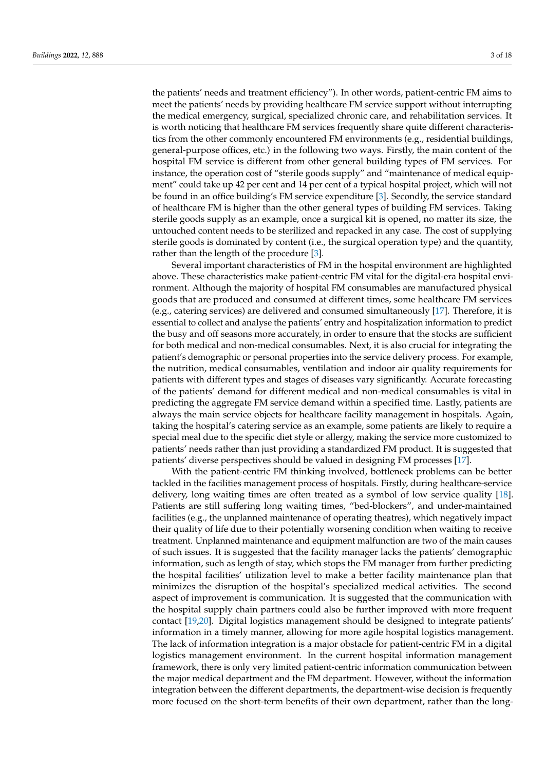the patients' needs and treatment efficiency"). In other words, patient-centric FM aims to meet the patients' needs by providing healthcare FM service support without interrupting the medical emergency, surgical, specialized chronic care, and rehabilitation services. It is worth noticing that healthcare FM services frequently share quite different characteristics from the other commonly encountered FM environments (e.g., residential buildings, general-purpose offices, etc.) in the following two ways. Firstly, the main content of the hospital FM service is different from other general building types of FM services. For instance, the operation cost of "sterile goods supply" and "maintenance of medical equipment" could take up 42 per cent and 14 per cent of a typical hospital project, which will not be found in an office building's FM service expenditure [\[3\]](#page-15-2). Secondly, the service standard of healthcare FM is higher than the other general types of building FM services. Taking sterile goods supply as an example, once a surgical kit is opened, no matter its size, the untouched content needs to be sterilized and repacked in any case. The cost of supplying sterile goods is dominated by content (i.e., the surgical operation type) and the quantity, rather than the length of the procedure [\[3\]](#page-15-2).

Several important characteristics of FM in the hospital environment are highlighted above. These characteristics make patient-centric FM vital for the digital-era hospital environment. Although the majority of hospital FM consumables are manufactured physical goods that are produced and consumed at different times, some healthcare FM services (e.g., catering services) are delivered and consumed simultaneously [\[17\]](#page-16-4). Therefore, it is essential to collect and analyse the patients' entry and hospitalization information to predict the busy and off seasons more accurately, in order to ensure that the stocks are sufficient for both medical and non-medical consumables. Next, it is also crucial for integrating the patient's demographic or personal properties into the service delivery process. For example, the nutrition, medical consumables, ventilation and indoor air quality requirements for patients with different types and stages of diseases vary significantly. Accurate forecasting of the patients' demand for different medical and non-medical consumables is vital in predicting the aggregate FM service demand within a specified time. Lastly, patients are always the main service objects for healthcare facility management in hospitals. Again, taking the hospital's catering service as an example, some patients are likely to require a special meal due to the specific diet style or allergy, making the service more customized to patients' needs rather than just providing a standardized FM product. It is suggested that patients' diverse perspectives should be valued in designing FM processes [\[17\]](#page-16-4).

With the patient-centric FM thinking involved, bottleneck problems can be better tackled in the facilities management process of hospitals. Firstly, during healthcare-service delivery, long waiting times are often treated as a symbol of low service quality [\[18\]](#page-16-5). Patients are still suffering long waiting times, "bed-blockers", and under-maintained facilities (e.g., the unplanned maintenance of operating theatres), which negatively impact their quality of life due to their potentially worsening condition when waiting to receive treatment. Unplanned maintenance and equipment malfunction are two of the main causes of such issues. It is suggested that the facility manager lacks the patients' demographic information, such as length of stay, which stops the FM manager from further predicting the hospital facilities' utilization level to make a better facility maintenance plan that minimizes the disruption of the hospital's specialized medical activities. The second aspect of improvement is communication. It is suggested that the communication with the hospital supply chain partners could also be further improved with more frequent contact [\[19,](#page-16-6)[20\]](#page-16-7). Digital logistics management should be designed to integrate patients' information in a timely manner, allowing for more agile hospital logistics management. The lack of information integration is a major obstacle for patient-centric FM in a digital logistics management environment. In the current hospital information management framework, there is only very limited patient-centric information communication between the major medical department and the FM department. However, without the information integration between the different departments, the department-wise decision is frequently more focused on the short-term benefits of their own department, rather than the long-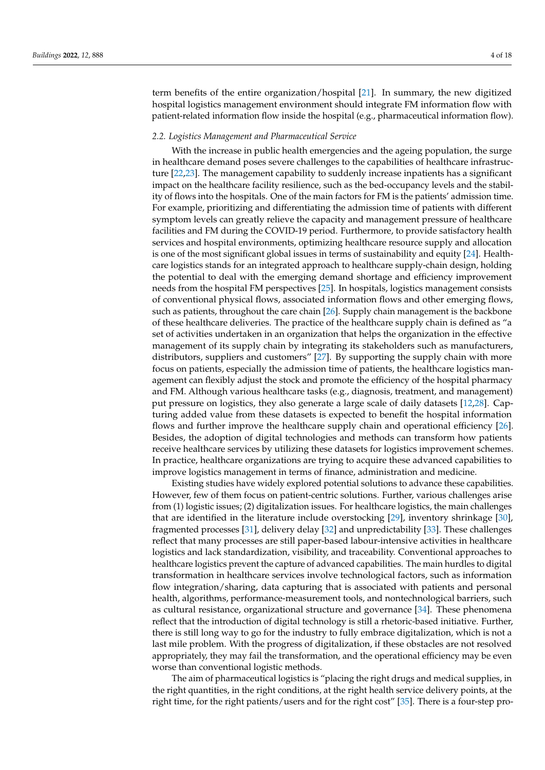term benefits of the entire organization/hospital [\[21\]](#page-16-8). In summary, the new digitized hospital logistics management environment should integrate FM information flow with patient-related information flow inside the hospital (e.g., pharmaceutical information flow).

#### *2.2. Logistics Management and Pharmaceutical Service*

With the increase in public health emergencies and the ageing population, the surge in healthcare demand poses severe challenges to the capabilities of healthcare infrastructure [\[22,](#page-16-9)[23\]](#page-16-10). The management capability to suddenly increase inpatients has a significant impact on the healthcare facility resilience, such as the bed-occupancy levels and the stability of flows into the hospitals. One of the main factors for FM is the patients' admission time. For example, prioritizing and differentiating the admission time of patients with different symptom levels can greatly relieve the capacity and management pressure of healthcare facilities and FM during the COVID-19 period. Furthermore, to provide satisfactory health services and hospital environments, optimizing healthcare resource supply and allocation is one of the most significant global issues in terms of sustainability and equity [\[24\]](#page-16-11). Healthcare logistics stands for an integrated approach to healthcare supply-chain design, holding the potential to deal with the emerging demand shortage and efficiency improvement needs from the hospital FM perspectives [\[25\]](#page-16-12). In hospitals, logistics management consists of conventional physical flows, associated information flows and other emerging flows, such as patients, throughout the care chain [\[26\]](#page-16-13). Supply chain management is the backbone of these healthcare deliveries. The practice of the healthcare supply chain is defined as "a set of activities undertaken in an organization that helps the organization in the effective management of its supply chain by integrating its stakeholders such as manufacturers, distributors, suppliers and customers" [\[27\]](#page-16-14). By supporting the supply chain with more focus on patients, especially the admission time of patients, the healthcare logistics management can flexibly adjust the stock and promote the efficiency of the hospital pharmacy and FM. Although various healthcare tasks (e.g., diagnosis, treatment, and management) put pressure on logistics, they also generate a large scale of daily datasets [\[12,](#page-16-15)[28\]](#page-16-16). Capturing added value from these datasets is expected to benefit the hospital information flows and further improve the healthcare supply chain and operational efficiency [\[26\]](#page-16-13). Besides, the adoption of digital technologies and methods can transform how patients receive healthcare services by utilizing these datasets for logistics improvement schemes. In practice, healthcare organizations are trying to acquire these advanced capabilities to improve logistics management in terms of finance, administration and medicine.

Existing studies have widely explored potential solutions to advance these capabilities. However, few of them focus on patient-centric solutions. Further, various challenges arise from (1) logistic issues; (2) digitalization issues. For healthcare logistics, the main challenges that are identified in the literature include overstocking [\[29\]](#page-16-17), inventory shrinkage [\[30\]](#page-16-18), fragmented processes [\[31\]](#page-16-19), delivery delay [\[32\]](#page-16-20) and unpredictability [\[33\]](#page-16-21). These challenges reflect that many processes are still paper-based labour-intensive activities in healthcare logistics and lack standardization, visibility, and traceability. Conventional approaches to healthcare logistics prevent the capture of advanced capabilities. The main hurdles to digital transformation in healthcare services involve technological factors, such as information flow integration/sharing, data capturing that is associated with patients and personal health, algorithms, performance-measurement tools, and nontechnological barriers, such as cultural resistance, organizational structure and governance [\[34\]](#page-16-22). These phenomena reflect that the introduction of digital technology is still a rhetoric-based initiative. Further, there is still long way to go for the industry to fully embrace digitalization, which is not a last mile problem. With the progress of digitalization, if these obstacles are not resolved appropriately, they may fail the transformation, and the operational efficiency may be even worse than conventional logistic methods.

The aim of pharmaceutical logistics is "placing the right drugs and medical supplies, in the right quantities, in the right conditions, at the right health service delivery points, at the right time, for the right patients/users and for the right cost" [\[35\]](#page-16-23). There is a four-step pro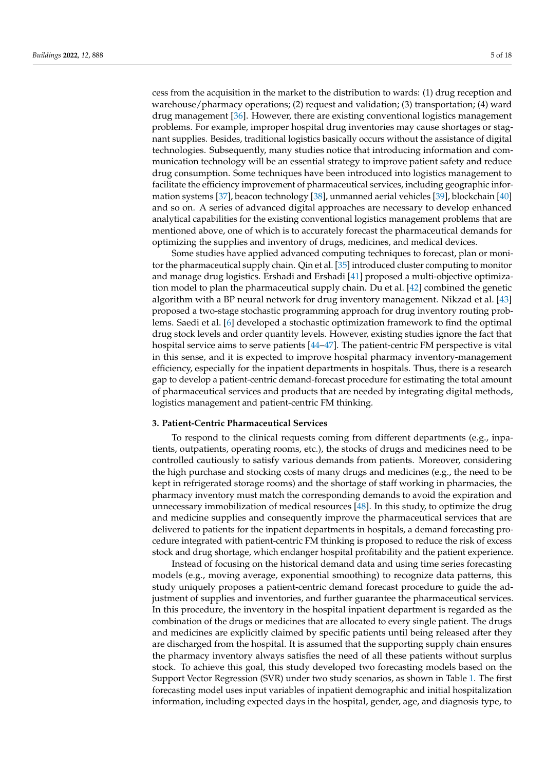cess from the acquisition in the market to the distribution to wards: (1) drug reception and warehouse/pharmacy operations; (2) request and validation; (3) transportation; (4) ward drug management [\[36\]](#page-16-24). However, there are existing conventional logistics management problems. For example, improper hospital drug inventories may cause shortages or stagnant supplies. Besides, traditional logistics basically occurs without the assistance of digital technologies. Subsequently, many studies notice that introducing information and communication technology will be an essential strategy to improve patient safety and reduce drug consumption. Some techniques have been introduced into logistics management to facilitate the efficiency improvement of pharmaceutical services, including geographic information systems [\[37\]](#page-17-0), beacon technology [\[38\]](#page-17-1), unmanned aerial vehicles [\[39\]](#page-17-2), blockchain [\[40\]](#page-17-3) and so on. A series of advanced digital approaches are necessary to develop enhanced analytical capabilities for the existing conventional logistics management problems that are mentioned above, one of which is to accurately forecast the pharmaceutical demands for

Some studies have applied advanced computing techniques to forecast, plan or monitor the pharmaceutical supply chain. Qin et al. [\[35\]](#page-16-23) introduced cluster computing to monitor and manage drug logistics. Ershadi and Ershadi [\[41\]](#page-17-4) proposed a multi-objective optimization model to plan the pharmaceutical supply chain. Du et al. [\[42\]](#page-17-5) combined the genetic algorithm with a BP neural network for drug inventory management. Nikzad et al. [\[43\]](#page-17-6) proposed a two-stage stochastic programming approach for drug inventory routing problems. Saedi et al. [\[6\]](#page-15-5) developed a stochastic optimization framework to find the optimal drug stock levels and order quantity levels. However, existing studies ignore the fact that hospital service aims to serve patients  $[44-47]$  $[44-47]$ . The patient-centric FM perspective is vital in this sense, and it is expected to improve hospital pharmacy inventory-management efficiency, especially for the inpatient departments in hospitals. Thus, there is a research gap to develop a patient-centric demand-forecast procedure for estimating the total amount of pharmaceutical services and products that are needed by integrating digital methods, logistics management and patient-centric FM thinking.

optimizing the supplies and inventory of drugs, medicines, and medical devices.

# <span id="page-4-0"></span>**3. Patient-Centric Pharmaceutical Services**

To respond to the clinical requests coming from different departments (e.g., inpatients, outpatients, operating rooms, etc.), the stocks of drugs and medicines need to be controlled cautiously to satisfy various demands from patients. Moreover, considering the high purchase and stocking costs of many drugs and medicines (e.g., the need to be kept in refrigerated storage rooms) and the shortage of staff working in pharmacies, the pharmacy inventory must match the corresponding demands to avoid the expiration and unnecessary immobilization of medical resources [\[48\]](#page-17-9). In this study, to optimize the drug and medicine supplies and consequently improve the pharmaceutical services that are delivered to patients for the inpatient departments in hospitals, a demand forecasting procedure integrated with patient-centric FM thinking is proposed to reduce the risk of excess stock and drug shortage, which endanger hospital profitability and the patient experience.

Instead of focusing on the historical demand data and using time series forecasting models (e.g., moving average, exponential smoothing) to recognize data patterns, this study uniquely proposes a patient-centric demand forecast procedure to guide the adjustment of supplies and inventories, and further guarantee the pharmaceutical services. In this procedure, the inventory in the hospital inpatient department is regarded as the combination of the drugs or medicines that are allocated to every single patient. The drugs and medicines are explicitly claimed by specific patients until being released after they are discharged from the hospital. It is assumed that the supporting supply chain ensures the pharmacy inventory always satisfies the need of all these patients without surplus stock. To achieve this goal, this study developed two forecasting models based on the Support Vector Regression (SVR) under two study scenarios, as shown in Table [1.](#page-5-0) The first forecasting model uses input variables of inpatient demographic and initial hospitalization information, including expected days in the hospital, gender, age, and diagnosis type, to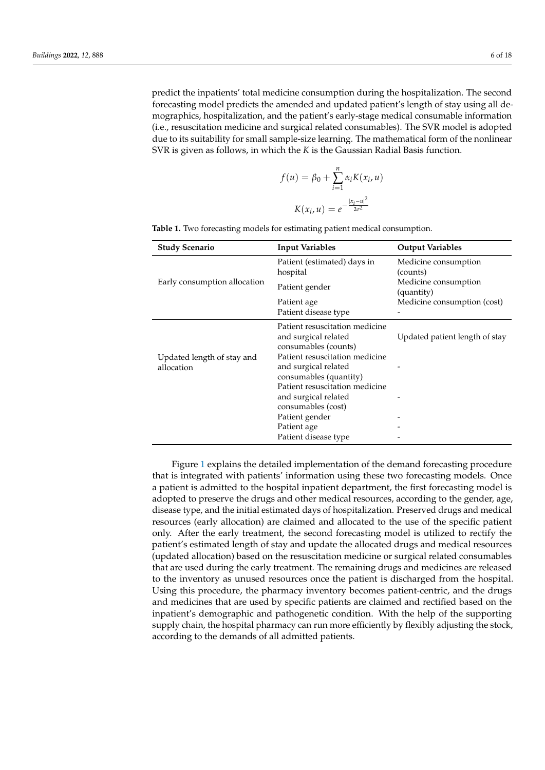predict the inpatients' total medicine consumption during the hospitalization. The second forecasting model predicts the amended and updated patient's length of stay using all demographics, hospitalization, and the patient's early-stage medical consumable information (i.e., resuscitation medicine and surgical related consumables). The SVR model is adopted due to its suitability for small sample-size learning. The mathematical form of the nonlinear SVR is given as follows, in which the *K* is the Gaussian Radial Basis function.

$$
f(u) = \beta_0 + \sum_{i=1}^{n} \alpha_i K(x_i, u)
$$

$$
K(x_i, u) = e^{-\frac{|x_i - u|^2}{2\sigma^2}}
$$

| <b>Study Scenario</b>                    | <b>Input Variables</b>                                                                                                                                                                                                                                                                                      | <b>Output Variables</b>            |  |  |
|------------------------------------------|-------------------------------------------------------------------------------------------------------------------------------------------------------------------------------------------------------------------------------------------------------------------------------------------------------------|------------------------------------|--|--|
|                                          | Patient (estimated) days in<br>hospital                                                                                                                                                                                                                                                                     | Medicine consumption<br>(counts)   |  |  |
| Early consumption allocation             | Patient gender                                                                                                                                                                                                                                                                                              | Medicine consumption<br>(quantity) |  |  |
|                                          | Patient age<br>Patient disease type                                                                                                                                                                                                                                                                         | Medicine consumption (cost)        |  |  |
| Updated length of stay and<br>allocation | Patient resuscitation medicine<br>and surgical related<br>consumables (counts)<br>Patient resuscitation medicine<br>and surgical related<br>consumables (quantity)<br>Patient resuscitation medicine<br>and surgical related<br>consumables (cost)<br>Patient gender<br>Patient age<br>Patient disease type | Updated patient length of stay     |  |  |

<span id="page-5-0"></span>**Table 1.** Two forecasting models for estimating patient medical consumption.

Figure [1](#page-6-1) explains the detailed implementation of the demand forecasting procedure that is integrated with patients' information using these two forecasting models. Once a patient is admitted to the hospital inpatient department, the first forecasting model is adopted to preserve the drugs and other medical resources, according to the gender, age, disease type, and the initial estimated days of hospitalization. Preserved drugs and medical resources (early allocation) are claimed and allocated to the use of the specific patient only. After the early treatment, the second forecasting model is utilized to rectify the patient's estimated length of stay and update the allocated drugs and medical resources (updated allocation) based on the resuscitation medicine or surgical related consumables that are used during the early treatment. The remaining drugs and medicines are released to the inventory as unused resources once the patient is discharged from the hospital. Using this procedure, the pharmacy inventory becomes patient-centric, and the drugs and medicines that are used by specific patients are claimed and rectified based on the inpatient's demographic and pathogenetic condition. With the help of the supporting supply chain, the hospital pharmacy can run more efficiently by flexibly adjusting the stock, according to the demands of all admitted patients.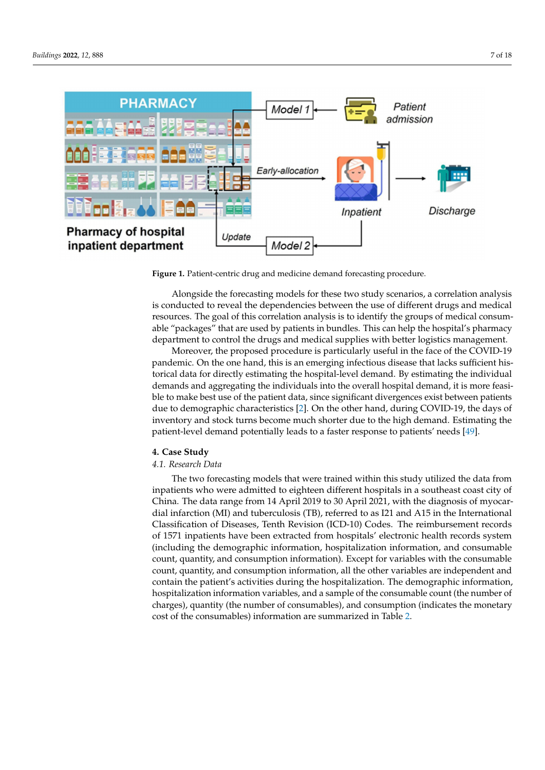<span id="page-6-1"></span>

**Figure 1.** Patient-centric drug and medicine demand forecasting procedure.

Alongside the forecasting models for these two study scenarios, a correlation analysis is conducted to reveal the dependencies between the use of different drugs and medical resources. The goal of this correlation analysis is to identify the groups of medical consumable "packages" that are used by patients in bundles. This can help the hospital's pharmacy department to control the drugs and medical supplies with better logistics management.

Moreover, the proposed procedure is particularly useful in the face of the COVID-19 pandemic. On the one hand, this is an emerging infectious disease that lacks sufficient historical data for directly estimating the hospital-level demand. By estimating the individual demands and aggregating the individuals into the overall hospital demand, it is more feasible to make best use of the patient data, since significant divergences exist between patients due to demographic characteristics [\[2\]](#page-15-1). On the other hand, during COVID-19, the days of inventory and stock turns become much shorter due to the high demand. Estimating the patient-level demand potentially leads to a faster response to patients' needs [\[49\]](#page-17-10).

### <span id="page-6-0"></span>**4. Case Study**

# *4.1. Research Data*

The two forecasting models that were trained within this study utilized the data from inpatients who were admitted to eighteen different hospitals in a southeast coast city of China. The data range from 14 April 2019 to 30 April 2021, with the diagnosis of myocardial infarction (MI) and tuberculosis (TB), referred to as I21 and A15 in the International Classification of Diseases, Tenth Revision (ICD-10) Codes. The reimbursement records of 1571 inpatients have been extracted from hospitals' electronic health records system (including the demographic information, hospitalization information, and consumable count, quantity, and consumption information). Except for variables with the consumable count, quantity, and consumption information, all the other variables are independent and contain the patient's activities during the hospitalization. The demographic information, hospitalization information variables, and a sample of the consumable count (the number of charges), quantity (the number of consumables), and consumption (indicates the monetary cost of the consumables) information are summarized in Table [2.](#page-7-0)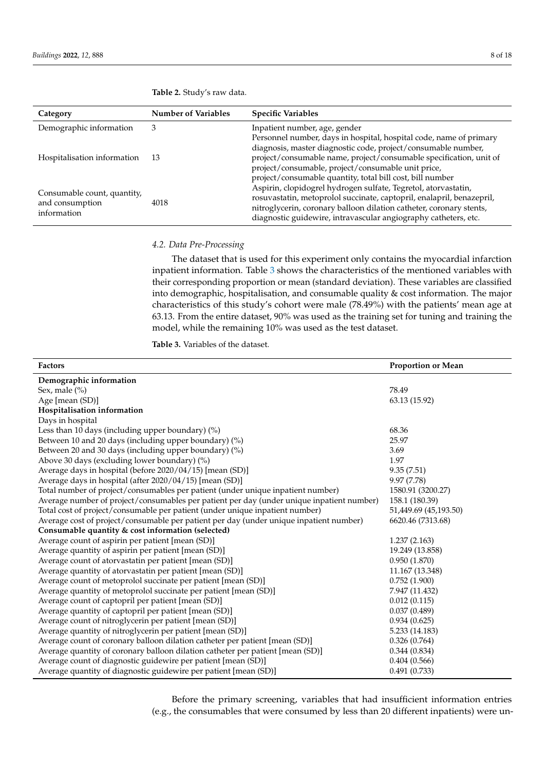| Category                                                      | <b>Number of Variables</b> | <b>Specific Variables</b>                                             |  |  |  |
|---------------------------------------------------------------|----------------------------|-----------------------------------------------------------------------|--|--|--|
| Demographic information                                       | 3                          | Inpatient number, age, gender                                         |  |  |  |
|                                                               |                            | Personnel number, days in hospital, hospital code, name of primary    |  |  |  |
|                                                               |                            | diagnosis, master diagnostic code, project/consumable number,         |  |  |  |
| Hospitalisation information                                   | - 13                       | project/consumable name, project/consumable specification, unit of    |  |  |  |
|                                                               |                            | project/consumable, project/consumable unit price,                    |  |  |  |
|                                                               |                            | project/consumable quantity, total bill cost, bill number             |  |  |  |
|                                                               |                            | Aspirin, clopidogrel hydrogen sulfate, Tegretol, atorvastatin,        |  |  |  |
| Consumable count, quantity,<br>and consumption<br>information | 4018                       | rosuvastatin, metoprolol succinate, captopril, enalapril, benazepril, |  |  |  |
|                                                               |                            | nitroglycerin, coronary balloon dilation catheter, coronary stents,   |  |  |  |
|                                                               |                            | diagnostic guidewire, intravascular angiography catheters, etc.       |  |  |  |

<span id="page-7-0"></span>

| <b>Table 2.</b> Study's raw data. |  |  |  |
|-----------------------------------|--|--|--|
|-----------------------------------|--|--|--|

# *4.2. Data Pre-Processing*

The dataset that is used for this experiment only contains the myocardial infarction inpatient information. Table [3](#page-7-1) shows the characteristics of the mentioned variables with their corresponding proportion or mean (standard deviation). These variables are classified into demographic, hospitalisation, and consumable quality & cost information. The major characteristics of this study's cohort were male (78.49%) with the patients' mean age at 63.13. From the entire dataset, 90% was used as the training set for tuning and training the model, while the remaining 10% was used as the test dataset.

<span id="page-7-1"></span>**Table 3.** Variables of the dataset.

| Factors                                                                                   | <b>Proportion or Mean</b> |
|-------------------------------------------------------------------------------------------|---------------------------|
| Demographic information                                                                   |                           |
| Sex, male $(\%)$                                                                          | 78.49                     |
| Age [mean (SD)]                                                                           | 63.13 (15.92)             |
| Hospitalisation information                                                               |                           |
| Days in hospital                                                                          |                           |
| Less than 10 days (including upper boundary) $(\%)$                                       | 68.36                     |
| Between 10 and 20 days (including upper boundary) (%)                                     | 25.97                     |
| Between 20 and 30 days (including upper boundary) (%)                                     | 3.69                      |
| Above 30 days (excluding lower boundary) (%)                                              | 1.97                      |
| Average days in hospital (before 2020/04/15) [mean (SD)]                                  | 9.35(7.51)                |
| Average days in hospital (after 2020/04/15) [mean (SD)]                                   | 9.97 (7.78)               |
| Total number of project/consumables per patient (under unique inpatient number)           | 1580.91 (3200.27)         |
| Average number of project/consumables per patient per day (under unique inpatient number) | 158.1 (180.39)            |
| Total cost of project/consumable per patient (under unique inpatient number)              | 51,449.69 (45,193.50)     |
| Average cost of project/consumable per patient per day (under unique inpatient number)    | 6620.46 (7313.68)         |
| Consumable quantity & cost information (selected)                                         |                           |
| Average count of aspirin per patient [mean (SD)]                                          | 1.237(2.163)              |
| Average quantity of aspirin per patient [mean (SD)]                                       | 19.249 (13.858)           |
| Average count of atorvastatin per patient [mean (SD)]                                     | 0.950(1.870)              |
| Average quantity of atorvastatin per patient [mean (SD)]                                  | 11.167 (13.348)           |
| Average count of metoprolol succinate per patient [mean (SD)]                             | 0.752(1.900)              |
| Average quantity of metoprolol succinate per patient [mean (SD)]                          | 7.947 (11.432)            |
| Average count of captopril per patient [mean (SD)]                                        | 0.012(0.115)              |
| Average quantity of captopril per patient [mean (SD)]                                     | 0.037(0.489)              |
| Average count of nitroglycerin per patient [mean (SD)]                                    | 0.934(0.625)              |
| Average quantity of nitroglycerin per patient [mean (SD)]                                 | 5.233 (14.183)            |
| Average count of coronary balloon dilation catheter per patient [mean (SD)]               | 0.326(0.764)              |
| Average quantity of coronary balloon dilation catheter per patient [mean (SD)]            | 0.344(0.834)              |
| Average count of diagnostic guidewire per patient [mean (SD)]                             | 0.404(0.566)              |
| Average quantity of diagnostic guidewire per patient [mean (SD)]                          | 0.491(0.733)              |

Before the primary screening, variables that had insufficient information entries (e.g., the consumables that were consumed by less than 20 different inpatients) were un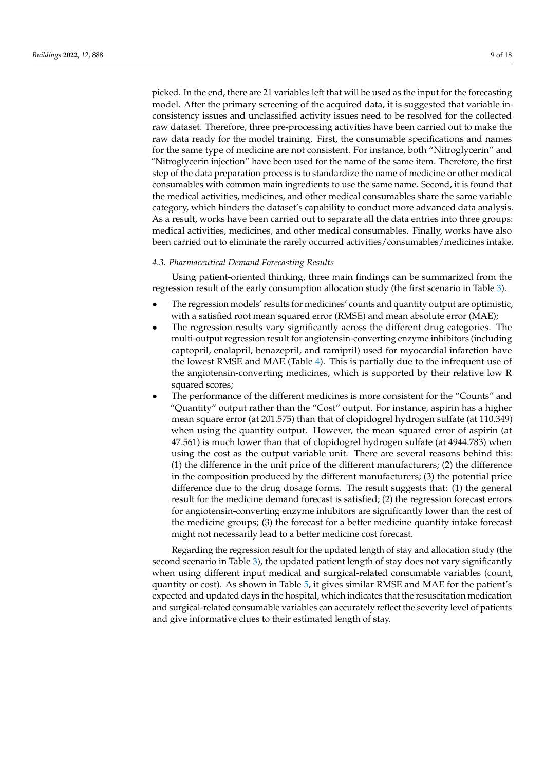picked. In the end, there are 21 variables left that will be used as the input for the forecasting model. After the primary screening of the acquired data, it is suggested that variable inconsistency issues and unclassified activity issues need to be resolved for the collected raw dataset. Therefore, three pre-processing activities have been carried out to make the raw data ready for the model training. First, the consumable specifications and names for the same type of medicine are not consistent. For instance, both "Nitroglycerin" and "Nitroglycerin injection" have been used for the name of the same item. Therefore, the first step of the data preparation process is to standardize the name of medicine or other medical consumables with common main ingredients to use the same name. Second, it is found that the medical activities, medicines, and other medical consumables share the same variable category, which hinders the dataset's capability to conduct more advanced data analysis. As a result, works have been carried out to separate all the data entries into three groups: medical activities, medicines, and other medical consumables. Finally, works have also been carried out to eliminate the rarely occurred activities/consumables/medicines intake.

## <span id="page-8-0"></span>*4.3. Pharmaceutical Demand Forecasting Results*

Using patient-oriented thinking, three main findings can be summarized from the regression result of the early consumption allocation study (the first scenario in Table [3\)](#page-7-1).

- The regression models' results for medicines' counts and quantity output are optimistic, with a satisfied root mean squared error (RMSE) and mean absolute error (MAE);
- The regression results vary significantly across the different drug categories. The multi-output regression result for angiotensin-converting enzyme inhibitors (including captopril, enalapril, benazepril, and ramipril) used for myocardial infarction have the lowest RMSE and MAE (Table [4\)](#page-9-0). This is partially due to the infrequent use of the angiotensin-converting medicines, which is supported by their relative low R squared scores;
- The performance of the different medicines is more consistent for the "Counts" and "Quantity" output rather than the "Cost" output. For instance, aspirin has a higher mean square error (at 201.575) than that of clopidogrel hydrogen sulfate (at 110.349) when using the quantity output. However, the mean squared error of aspirin (at 47.561) is much lower than that of clopidogrel hydrogen sulfate (at 4944.783) when using the cost as the output variable unit. There are several reasons behind this: (1) the difference in the unit price of the different manufacturers; (2) the difference in the composition produced by the different manufacturers; (3) the potential price difference due to the drug dosage forms. The result suggests that: (1) the general result for the medicine demand forecast is satisfied; (2) the regression forecast errors for angiotensin-converting enzyme inhibitors are significantly lower than the rest of the medicine groups; (3) the forecast for a better medicine quantity intake forecast might not necessarily lead to a better medicine cost forecast.

Regarding the regression result for the updated length of stay and allocation study (the second scenario in Table [3\)](#page-7-1), the updated patient length of stay does not vary significantly when using different input medical and surgical-related consumable variables (count, quantity or cost). As shown in Table [5,](#page-10-0) it gives similar RMSE and MAE for the patient's expected and updated days in the hospital, which indicates that the resuscitation medication and surgical-related consumable variables can accurately reflect the severity level of patients and give informative clues to their estimated length of stay.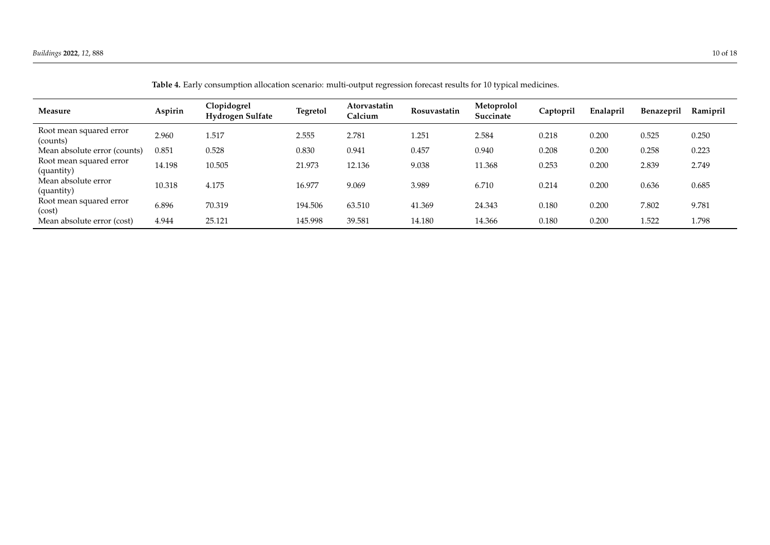<span id="page-9-0"></span>

| Measure                               | Aspirin | Clopidogrel<br><b>Hydrogen Sulfate</b> | <b>Tegretol</b> | Atorvastatin<br>Calcium | Rosuvastatin | Metoprolol<br>Succinate | Captopril | Enalapril | <b>Benazepril</b> | Ramipril |
|---------------------------------------|---------|----------------------------------------|-----------------|-------------------------|--------------|-------------------------|-----------|-----------|-------------------|----------|
| Root mean squared error<br>(counts)   | 2.960   | 1.517                                  | 2.555           | 2.781                   | .251         | 2.584                   | 0.218     | 0.200     | 0.525             | 0.250    |
| Mean absolute error (counts)          | 0.851   | 0.528                                  | 0.830           | 0.941                   | 0.457        | 0.940                   | 0.208     | 0.200     | 0.258             | 0.223    |
| Root mean squared error<br>(quantity) | 14.198  | 10.505                                 | 21.973          | 12.136                  | 9.038        | 11.368                  | 0.253     | 0.200     | 2.839             | 2.749    |
| Mean absolute error<br>(quantity)     | 10.318  | 4.175                                  | 16.977          | 9.069                   | 3.989        | 6.710                   | 0.214     | 0.200     | 0.636             | 0.685    |
| Root mean squared error<br>(cost)     | 6.896   | 70.319                                 | 194.506         | 63.510                  | 41.369       | 24.343                  | 0.180     | 0.200     | 7.802             | 9.781    |
| Mean absolute error (cost)            | 4.944   | 25.121                                 | 145.998         | 39.581                  | 14.180       | 14.366                  | 0.180     | 0.200     | 1.522             | 1.798    |

**Table 4.** Early consumption allocation scenario: multi-output regression forecast results for 10 typical medicines.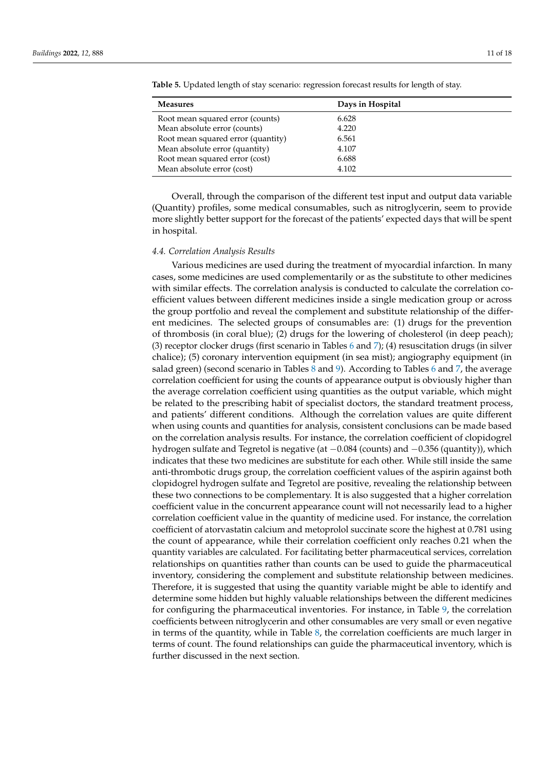| <b>Measures</b>                    | Days in Hospital |
|------------------------------------|------------------|
| Root mean squared error (counts)   | 6.628            |
| Mean absolute error (counts)       | 4.220            |
| Root mean squared error (quantity) | 6.561            |
| Mean absolute error (quantity)     | 4.107            |
| Root mean squared error (cost)     | 6.688            |
| Mean absolute error (cost)         | 4.102            |

<span id="page-10-0"></span>**Table 5.** Updated length of stay scenario: regression forecast results for length of stay.

Overall, through the comparison of the different test input and output data variable (Quantity) profiles, some medical consumables, such as nitroglycerin, seem to provide more slightly better support for the forecast of the patients' expected days that will be spent in hospital.

### <span id="page-10-1"></span>*4.4. Correlation Analysis Results*

Various medicines are used during the treatment of myocardial infarction. In many cases, some medicines are used complementarily or as the substitute to other medicines with similar effects. The correlation analysis is conducted to calculate the correlation coefficient values between different medicines inside a single medication group or across the group portfolio and reveal the complement and substitute relationship of the different medicines. The selected groups of consumables are: (1) drugs for the prevention of thrombosis (in coral blue); (2) drugs for the lowering of cholesterol (in deep peach); (3) receptor clocker drugs (first scenario in Tables [6](#page-11-0) and [7\)](#page-12-0); (4) resuscitation drugs (in silver chalice); (5) coronary intervention equipment (in sea mist); angiography equipment (in salad green) (second scenario in Tables [8](#page-12-1) and [9\)](#page-13-0). According to Tables [6](#page-11-0) and [7,](#page-12-0) the average correlation coefficient for using the counts of appearance output is obviously higher than the average correlation coefficient using quantities as the output variable, which might be related to the prescribing habit of specialist doctors, the standard treatment process, and patients' different conditions. Although the correlation values are quite different when using counts and quantities for analysis, consistent conclusions can be made based on the correlation analysis results. For instance, the correlation coefficient of clopidogrel hydrogen sulfate and Tegretol is negative (at −0.084 (counts) and −0.356 (quantity)), which indicates that these two medicines are substitute for each other. While still inside the same anti-thrombotic drugs group, the correlation coefficient values of the aspirin against both clopidogrel hydrogen sulfate and Tegretol are positive, revealing the relationship between these two connections to be complementary. It is also suggested that a higher correlation coefficient value in the concurrent appearance count will not necessarily lead to a higher correlation coefficient value in the quantity of medicine used. For instance, the correlation coefficient of atorvastatin calcium and metoprolol succinate score the highest at 0.781 using the count of appearance, while their correlation coefficient only reaches 0.21 when the quantity variables are calculated. For facilitating better pharmaceutical services, correlation relationships on quantities rather than counts can be used to guide the pharmaceutical inventory, considering the complement and substitute relationship between medicines. Therefore, it is suggested that using the quantity variable might be able to identify and determine some hidden but highly valuable relationships between the different medicines for configuring the pharmaceutical inventories. For instance, in Table [9,](#page-13-0) the correlation coefficients between nitroglycerin and other consumables are very small or even negative in terms of the quantity, while in Table [8,](#page-12-1) the correlation coefficients are much larger in terms of count. The found relationships can guide the pharmaceutical inventory, which is further discussed in the next section.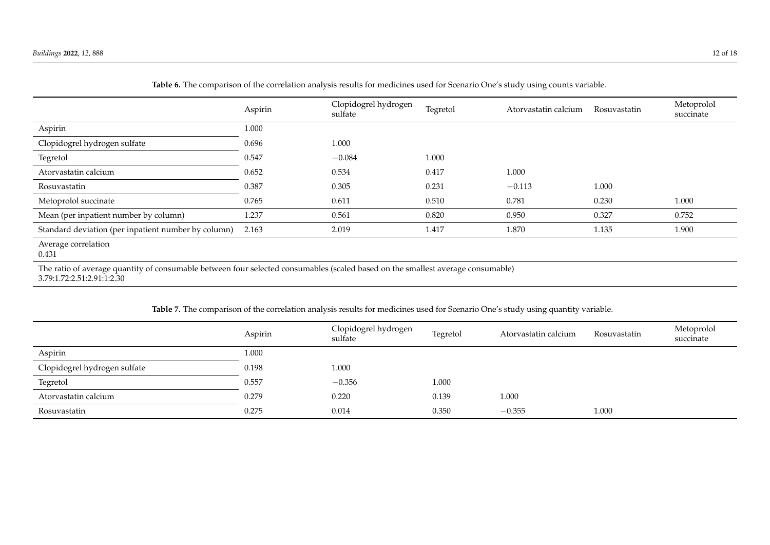|                                                     | Aspirin | Clopidogrel hydrogen<br>sulfate | Tegretol | Atorvastatin calcium | Rosuvastatin | Metoprolol<br>succinate |
|-----------------------------------------------------|---------|---------------------------------|----------|----------------------|--------------|-------------------------|
| Aspirin                                             | 1.000   |                                 |          |                      |              |                         |
| Clopidogrel hydrogen sulfate                        | 0.696   | 1.000                           |          |                      |              |                         |
| Tegretol                                            | 0.547   | $-0.084$                        | 1.000    |                      |              |                         |
| Atorvastatin calcium                                | 0.652   | 0.534                           | 0.417    | 1.000                |              |                         |
| Rosuvastatin                                        | 0.387   | 0.305                           | 0.231    | $-0.113$             | 1.000        |                         |
| Metoprolol succinate                                | 0.765   | 0.611                           | 0.510    | 0.781                | 0.230        | 1.000                   |
| Mean (per inpatient number by column)               | 1.237   | 0.561                           | 0.820    | 0.950                | 0.327        | 0.752                   |
| Standard deviation (per inpatient number by column) | 2.163   | 2.019                           | 1.417    | 1.870                | 1.135        | 1.900                   |
| Average correlation<br>0.431                        |         |                                 |          |                      |              |                         |

**Table 6.** The comparison of the correlation analysis results for medicines used for Scenario One's study using counts variable.

The ratio of average quantity of consumable between four selected consumables (scaled based on the smallest average consumable) 3.79:1.72:2.51:2.91:1:2.30

**Table 7.** The comparison of the correlation analysis results for medicines used for Scenario One's study using quantity variable.

<span id="page-11-0"></span>

|                              | Aspirin | Clopidogrel hydrogen<br>sulfate | Tegretol | Atorvastatin calcium | Rosuvastatin | Metoprolol<br>succinate |
|------------------------------|---------|---------------------------------|----------|----------------------|--------------|-------------------------|
| Aspirin                      | 1.000   |                                 |          |                      |              |                         |
| Clopidogrel hydrogen sulfate | 0.198   | 1.000                           |          |                      |              |                         |
| Tegretol                     | 0.557   | $-0.356$                        | 1.000    |                      |              |                         |
| Atorvastatin calcium         | 0.279   | 0.220                           | 0.139    | 1.000                |              |                         |
| Rosuvastatin                 | 0.275   | 0.014                           | 0.350    | $-0.355$             | 1.000        |                         |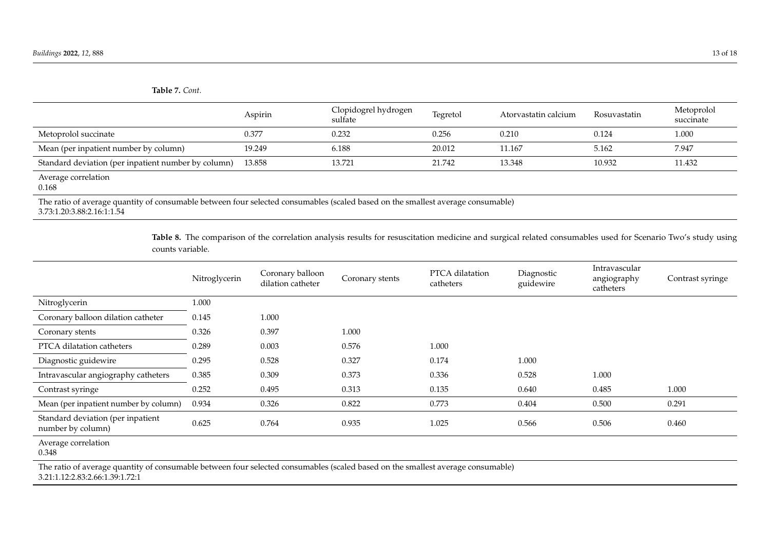**Table 7.** *Cont.*

|                                                                                                                                 | Aspirin | Clopidogrel hydrogen<br>sulfate | Tegretol | Atorvastatin calcium | Rosuvastatin | Metoprolol<br>succinate |  |
|---------------------------------------------------------------------------------------------------------------------------------|---------|---------------------------------|----------|----------------------|--------------|-------------------------|--|
| Metoprolol succinate                                                                                                            | 0.377   | 0.232                           | 0.256    | 0.210                | 0.124        | 1.000                   |  |
| Mean (per inpatient number by column)                                                                                           | 19.249  | 6.188                           | 20.012   | 11.167               | 5.162        | 7.947                   |  |
| Standard deviation (per inpatient number by column)                                                                             | 13.858  | 13.721                          | 21.742   | 13.348               | 10.932       | 11.432                  |  |
| Average correlation<br>0.168                                                                                                    |         |                                 |          |                      |              |                         |  |
| The ratio of average quantity of consumable between four selected consumables (scaled based on the smallest average consumable) |         |                                 |          |                      |              |                         |  |

3.73:1.20:3.88:2.16:1:1.54

Table 8. The comparison of the correlation analysis results for resuscitation medicine and surgical related consumables used for Scenario Two's study using counts variable.

<span id="page-12-0"></span>

|                                                        | Nitroglycerin | Coronary balloon<br>dilation catheter | Coronary stents | PTCA dilatation<br>catheters | Diagnostic<br>guidewire | Intravascular<br>angiography<br>catheters | Contrast syringe |
|--------------------------------------------------------|---------------|---------------------------------------|-----------------|------------------------------|-------------------------|-------------------------------------------|------------------|
| Nitroglycerin                                          | 1.000         |                                       |                 |                              |                         |                                           |                  |
| Coronary balloon dilation catheter                     | 0.145         | 1.000                                 |                 |                              |                         |                                           |                  |
| Coronary stents                                        | 0.326         | 0.397                                 | 1.000           |                              |                         |                                           |                  |
| PTCA dilatation catheters                              | 0.289         | 0.003                                 | 0.576           | 1.000                        |                         |                                           |                  |
| Diagnostic guidewire                                   | 0.295         | 0.528                                 | 0.327           | 0.174                        | 1.000                   |                                           |                  |
| Intravascular angiography catheters                    | 0.385         | 0.309                                 | 0.373           | 0.336                        | 0.528                   | 1.000                                     |                  |
| Contrast syringe                                       | 0.252         | 0.495                                 | 0.313           | 0.135                        | 0.640                   | 0.485                                     | 1.000            |
| Mean (per inpatient number by column)                  | 0.934         | 0.326                                 | 0.822           | 0.773                        | 0.404                   | 0.500                                     | 0.291            |
| Standard deviation (per inpatient<br>number by column) | 0.625         | 0.764                                 | 0.935           | 1.025                        | 0.566                   | 0.506                                     | 0.460            |
| Average correlation<br>0.348                           |               |                                       |                 |                              |                         |                                           |                  |

<span id="page-12-1"></span>The ratio of average quantity of consumable between four selected consumables (scaled based on the smallest average consumable) 3.21:1.12:2.83:2.66:1.39:1.72:1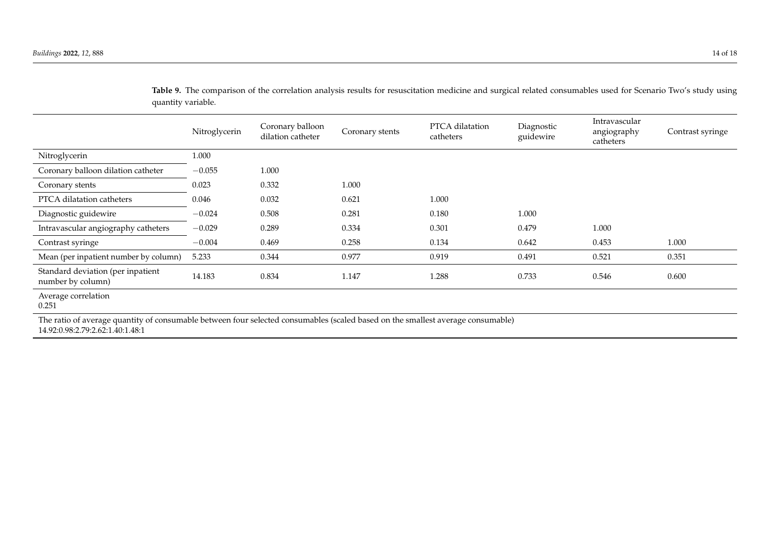Table 9. The comparison of the correlation analysis results for resuscitation medicine and surgical related consumables used for Scenario Two's study using quantity variable.

|                                                                                                           | Nitroglycerin | Coronary balloon<br>dilation catheter | Coronary stents | PTCA dilatation<br>catheters | Diagnostic<br>guidewire | Intravascular<br>angiography<br>catheters | Contrast syringe |
|-----------------------------------------------------------------------------------------------------------|---------------|---------------------------------------|-----------------|------------------------------|-------------------------|-------------------------------------------|------------------|
| Nitroglycerin                                                                                             | 1.000         |                                       |                 |                              |                         |                                           |                  |
| Coronary balloon dilation catheter                                                                        | $-0.055$      | 1.000                                 |                 |                              |                         |                                           |                  |
| Coronary stents                                                                                           | 0.023         | 0.332                                 | 1.000           |                              |                         |                                           |                  |
| PTCA dilatation catheters                                                                                 | 0.046         | 0.032                                 | 0.621           | 1.000                        |                         |                                           |                  |
| Diagnostic guidewire                                                                                      | $-0.024$      | 0.508                                 | 0.281           | 0.180                        | 1.000                   |                                           |                  |
| Intravascular angiography catheters                                                                       | $-0.029$      | 0.289                                 | 0.334           | 0.301                        | 0.479                   | 1.000                                     |                  |
| Contrast syringe                                                                                          | $-0.004$      | 0.469                                 | 0.258           | 0.134                        | 0.642                   | 0.453                                     | 1.000            |
| Mean (per inpatient number by column)                                                                     | 5.233         | 0.344                                 | 0.977           | 0.919                        | 0.491                   | 0.521                                     | 0.351            |
| Standard deviation (per inpatient<br>number by column)                                                    | 14.183        | 0.834                                 | 1.147           | 1.288                        | 0.733                   | 0.546                                     | 0.600            |
| Average correlation<br>0.251                                                                              |               |                                       |                 |                              |                         |                                           |                  |
| The second comparison of excess that the completed compatible fund the fund started on the fund of $\ell$ |               |                                       |                 |                              |                         |                                           |                  |

<span id="page-13-0"></span>The ratio of average quantity of consumable between four selected consumables (scaled based on the smallest average consumable) 14.92:0.98:2.79:2.62:1.40:1.48:1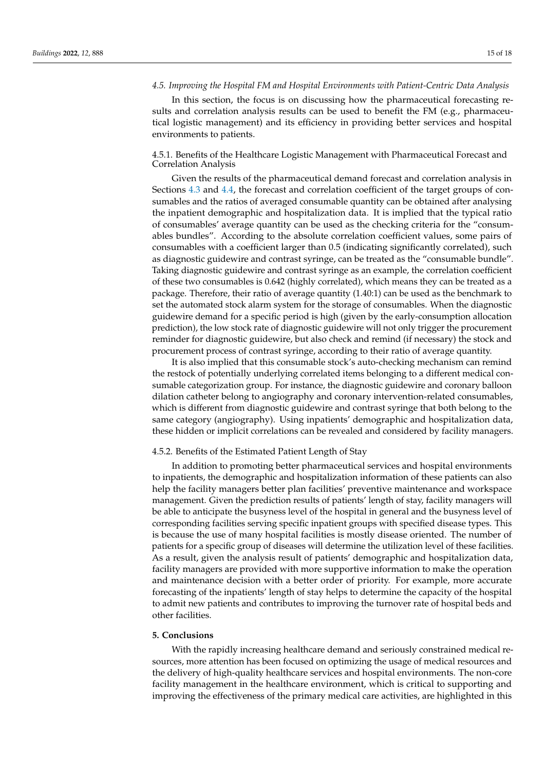#### *4.5. Improving the Hospital FM and Hospital Environments with Patient-Centric Data Analysis*

In this section, the focus is on discussing how the pharmaceutical forecasting results and correlation analysis results can be used to benefit the FM (e.g., pharmaceutical logistic management) and its efficiency in providing better services and hospital environments to patients.

# 4.5.1. Benefits of the Healthcare Logistic Management with Pharmaceutical Forecast and Correlation Analysis

Given the results of the pharmaceutical demand forecast and correlation analysis in Sections [4.3](#page-8-0) and [4.4,](#page-10-1) the forecast and correlation coefficient of the target groups of consumables and the ratios of averaged consumable quantity can be obtained after analysing the inpatient demographic and hospitalization data. It is implied that the typical ratio of consumables' average quantity can be used as the checking criteria for the "consumables bundles". According to the absolute correlation coefficient values, some pairs of consumables with a coefficient larger than 0.5 (indicating significantly correlated), such as diagnostic guidewire and contrast syringe, can be treated as the "consumable bundle". Taking diagnostic guidewire and contrast syringe as an example, the correlation coefficient of these two consumables is 0.642 (highly correlated), which means they can be treated as a package. Therefore, their ratio of average quantity (1.40:1) can be used as the benchmark to set the automated stock alarm system for the storage of consumables. When the diagnostic guidewire demand for a specific period is high (given by the early-consumption allocation prediction), the low stock rate of diagnostic guidewire will not only trigger the procurement reminder for diagnostic guidewire, but also check and remind (if necessary) the stock and procurement process of contrast syringe, according to their ratio of average quantity.

It is also implied that this consumable stock's auto-checking mechanism can remind the restock of potentially underlying correlated items belonging to a different medical consumable categorization group. For instance, the diagnostic guidewire and coronary balloon dilation catheter belong to angiography and coronary intervention-related consumables, which is different from diagnostic guidewire and contrast syringe that both belong to the same category (angiography). Using inpatients' demographic and hospitalization data, these hidden or implicit correlations can be revealed and considered by facility managers.

### 4.5.2. Benefits of the Estimated Patient Length of Stay

In addition to promoting better pharmaceutical services and hospital environments to inpatients, the demographic and hospitalization information of these patients can also help the facility managers better plan facilities' preventive maintenance and workspace management. Given the prediction results of patients' length of stay, facility managers will be able to anticipate the busyness level of the hospital in general and the busyness level of corresponding facilities serving specific inpatient groups with specified disease types. This is because the use of many hospital facilities is mostly disease oriented. The number of patients for a specific group of diseases will determine the utilization level of these facilities. As a result, given the analysis result of patients' demographic and hospitalization data, facility managers are provided with more supportive information to make the operation and maintenance decision with a better order of priority. For example, more accurate forecasting of the inpatients' length of stay helps to determine the capacity of the hospital to admit new patients and contributes to improving the turnover rate of hospital beds and other facilities.

# <span id="page-14-0"></span>**5. Conclusions**

With the rapidly increasing healthcare demand and seriously constrained medical resources, more attention has been focused on optimizing the usage of medical resources and the delivery of high-quality healthcare services and hospital environments. The non-core facility management in the healthcare environment, which is critical to supporting and improving the effectiveness of the primary medical care activities, are highlighted in this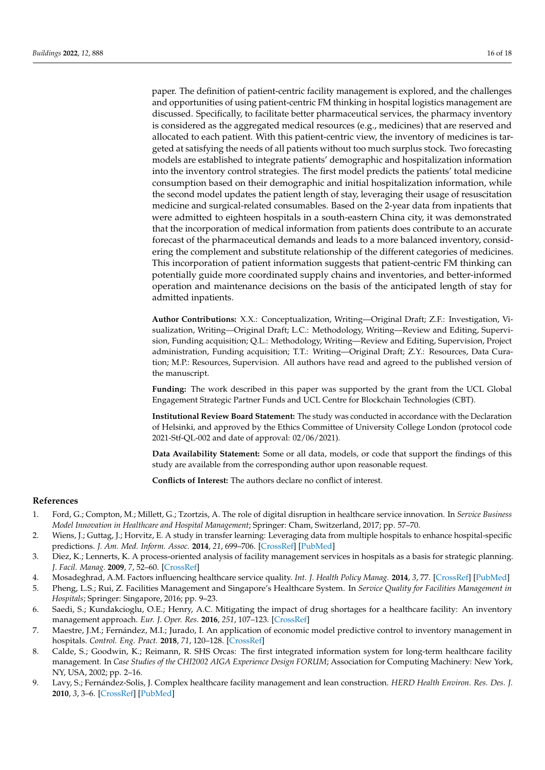paper. The definition of patient-centric facility management is explored, and the challenges and opportunities of using patient-centric FM thinking in hospital logistics management are discussed. Specifically, to facilitate better pharmaceutical services, the pharmacy inventory is considered as the aggregated medical resources (e.g., medicines) that are reserved and allocated to each patient. With this patient-centric view, the inventory of medicines is targeted at satisfying the needs of all patients without too much surplus stock. Two forecasting models are established to integrate patients' demographic and hospitalization information into the inventory control strategies. The first model predicts the patients' total medicine consumption based on their demographic and initial hospitalization information, while the second model updates the patient length of stay, leveraging their usage of resuscitation medicine and surgical-related consumables. Based on the 2-year data from inpatients that were admitted to eighteen hospitals in a south-eastern China city, it was demonstrated that the incorporation of medical information from patients does contribute to an accurate forecast of the pharmaceutical demands and leads to a more balanced inventory, considering the complement and substitute relationship of the different categories of medicines. This incorporation of patient information suggests that patient-centric FM thinking can potentially guide more coordinated supply chains and inventories, and better-informed operation and maintenance decisions on the basis of the anticipated length of stay for admitted inpatients.

**Author Contributions:** X.X.: Conceptualization, Writing—Original Draft; Z.F.: Investigation, Visualization, Writing—Original Draft; L.C.: Methodology, Writing—Review and Editing, Supervision, Funding acquisition; Q.L.: Methodology, Writing—Review and Editing, Supervision, Project administration, Funding acquisition; T.T.: Writing—Original Draft; Z.Y.: Resources, Data Curation; M.P.: Resources, Supervision. All authors have read and agreed to the published version of the manuscript.

**Funding:** The work described in this paper was supported by the grant from the UCL Global Engagement Strategic Partner Funds and UCL Centre for Blockchain Technologies (CBT).

**Institutional Review Board Statement:** The study was conducted in accordance with the Declaration of Helsinki, and approved by the Ethics Committee of University College London (protocol code 2021-Stf-QL-002 and date of approval: 02/06/2021).

**Data Availability Statement:** Some or all data, models, or code that support the findings of this study are available from the corresponding author upon reasonable request.

**Conflicts of Interest:** The authors declare no conflict of interest.

## **References**

- <span id="page-15-0"></span>1. Ford, G.; Compton, M.; Millett, G.; Tzortzis, A. The role of digital disruption in healthcare service innovation. In *Service Business Model Innovation in Healthcare and Hospital Management*; Springer: Cham, Switzerland, 2017; pp. 57–70.
- <span id="page-15-1"></span>2. Wiens, J.; Guttag, J.; Horvitz, E. A study in transfer learning: Leveraging data from multiple hospitals to enhance hospital-specific predictions. *J. Am. Med. Inform. Assoc.* **2014**, *21*, 699–706. [\[CrossRef\]](http://doi.org/10.1136/amiajnl-2013-002162) [\[PubMed\]](http://www.ncbi.nlm.nih.gov/pubmed/24481703)
- <span id="page-15-2"></span>3. Diez, K.; Lennerts, K. A process-oriented analysis of facility management services in hospitals as a basis for strategic planning. *J. Facil. Manag.* **2009**, *7*, 52–60. [\[CrossRef\]](http://doi.org/10.1108/14725960910929565)
- <span id="page-15-3"></span>4. Mosadeghrad, A.M. Factors influencing healthcare service quality. *Int. J. Health Policy Manag.* **2014**, *3*, 77. [\[CrossRef\]](http://doi.org/10.15171/ijhpm.2014.65) [\[PubMed\]](http://www.ncbi.nlm.nih.gov/pubmed/25114946)
- <span id="page-15-4"></span>5. Pheng, L.S.; Rui, Z. Facilities Management and Singapore's Healthcare System. In *Service Quality for Facilities Management in Hospitals*; Springer: Singapore, 2016; pp. 9–23.
- <span id="page-15-5"></span>6. Saedi, S.; Kundakcioglu, O.E.; Henry, A.C. Mitigating the impact of drug shortages for a healthcare facility: An inventory management approach. *Eur. J. Oper. Res.* **2016**, *251*, 107–123. [\[CrossRef\]](http://doi.org/10.1016/j.ejor.2015.11.017)
- <span id="page-15-6"></span>7. Maestre, J.M.; Fernández, M.I.; Jurado, I. An application of economic model predictive control to inventory management in hospitals. *Control. Eng. Pract.* **2018**, *71*, 120–128. [\[CrossRef\]](http://doi.org/10.1016/j.conengprac.2017.10.012)
- <span id="page-15-7"></span>8. Calde, S.; Goodwin, K.; Reimann, R. SHS Orcas: The first integrated information system for long-term healthcare facility management. In *Case Studies of the CHI2002 AIGA Experience Design FORUM*; Association for Computing Machinery: New York, NY, USA, 2002; pp. 2–16.
- 9. Lavy, S.; Fernández-Solis, J. Complex healthcare facility management and lean construction. *HERD Health Environ. Res. Des. J.* **2010**, *3*, 3–6. [\[CrossRef\]](http://doi.org/10.1177/193758671000300201) [\[PubMed\]](http://www.ncbi.nlm.nih.gov/pubmed/21165865)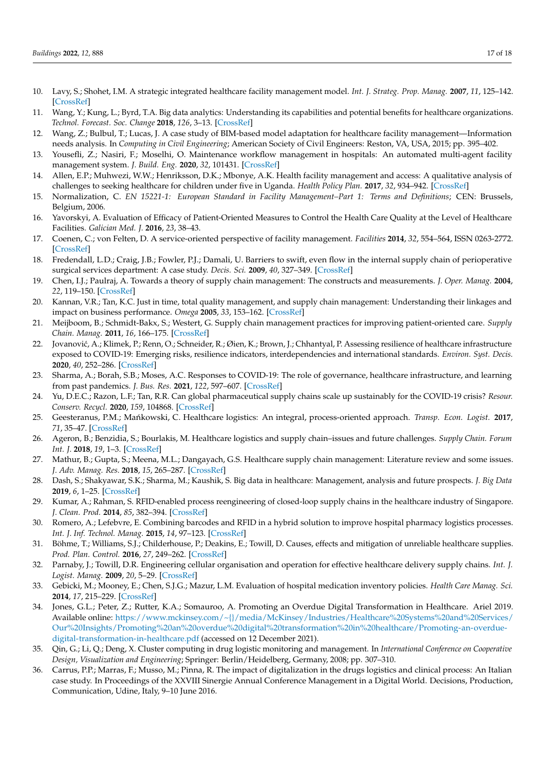- 10. Lavy, S.; Shohet, I.M. A strategic integrated healthcare facility management model. *Int. J. Strateg. Prop. Manag.* **2007**, *11*, 125–142. [\[CrossRef\]](http://doi.org/10.3846/1648715X.2007.9637565)
- 11. Wang, Y.; Kung, L.; Byrd, T.A. Big data analytics: Understanding its capabilities and potential benefits for healthcare organizations. *Technol. Forecast. Soc. Change* **2018**, *126*, 3–13. [\[CrossRef\]](http://doi.org/10.1016/j.techfore.2015.12.019)
- <span id="page-16-15"></span>12. Wang, Z.; Bulbul, T.; Lucas, J. A case study of BIM-based model adaptation for healthcare facility management—Information needs analysis. In *Computing in Civil Engineering*; American Society of Civil Engineers: Reston, VA, USA, 2015; pp. 395–402.
- <span id="page-16-0"></span>13. Yousefli, Z.; Nasiri, F.; Moselhi, O. Maintenance workflow management in hospitals: An automated multi-agent facility management system. *J. Build. Eng.* **2020**, *32*, 101431. [\[CrossRef\]](http://doi.org/10.1016/j.jobe.2020.101431)
- <span id="page-16-1"></span>14. Allen, E.P.; Muhwezi, W.W.; Henriksson, D.K.; Mbonye, A.K. Health facility management and access: A qualitative analysis of challenges to seeking healthcare for children under five in Uganda. *Health Policy Plan.* **2017**, *32*, 934–942. [\[CrossRef\]](http://doi.org/10.1093/heapol/czw180)
- <span id="page-16-2"></span>15. Normalization, C. *EN 15221-1: European Standard in Facility Management–Part 1: Terms and Definitions*; CEN: Brussels, Belgium, 2006.
- <span id="page-16-3"></span>16. Yavorskyi, A. Evaluation of Efficacy of Patient-Oriented Measures to Control the Health Care Quality at the Level of Healthcare Facilities. *Galician Med. J.* **2016**, *23*, 38–43.
- <span id="page-16-4"></span>17. Coenen, C.; von Felten, D. A service-oriented perspective of facility management. *Facilities* **2014**, *32*, 554–564, ISSN 0263-2772. [\[CrossRef\]](http://doi.org/10.1108/F-09-2012-0068)
- <span id="page-16-5"></span>18. Fredendall, L.D.; Craig, J.B.; Fowler, P.J.; Damali, U. Barriers to swift, even flow in the internal supply chain of perioperative surgical services department: A case study. *Decis. Sci.* **2009**, *40*, 327–349. [\[CrossRef\]](http://doi.org/10.1111/j.1540-5915.2009.00232.x)
- <span id="page-16-6"></span>19. Chen, I.J.; Paulraj, A. Towards a theory of supply chain management: The constructs and measurements. *J. Oper. Manag.* **2004**, *22*, 119–150. [\[CrossRef\]](http://doi.org/10.1016/j.jom.2003.12.007)
- <span id="page-16-7"></span>20. Kannan, V.R.; Tan, K.C. Just in time, total quality management, and supply chain management: Understanding their linkages and impact on business performance. *Omega* **2005**, *33*, 153–162. [\[CrossRef\]](http://doi.org/10.1016/j.omega.2004.03.012)
- <span id="page-16-8"></span>21. Meijboom, B.; Schmidt-Bakx, S.; Westert, G. Supply chain management practices for improving patient-oriented care. *Supply Chain. Manag.* **2011**, *16*, 166–175. [\[CrossRef\]](http://doi.org/10.1108/13598541111127155)
- <span id="page-16-9"></span>22. Jovanović, A.; Klimek, P.; Renn, O.; Schneider, R.; Øien, K.; Brown, J.; Chhantyal, P. Assessing resilience of healthcare infrastructure exposed to COVID-19: Emerging risks, resilience indicators, interdependencies and international standards. *Environ. Syst. Decis.* **2020**, *40*, 252–286. [\[CrossRef\]](http://doi.org/10.1007/s10669-020-09779-8)
- <span id="page-16-10"></span>23. Sharma, A.; Borah, S.B.; Moses, A.C. Responses to COVID-19: The role of governance, healthcare infrastructure, and learning from past pandemics. *J. Bus. Res.* **2021**, *122*, 597–607. [\[CrossRef\]](http://doi.org/10.1016/j.jbusres.2020.09.011)
- <span id="page-16-11"></span>24. Yu, D.E.C.; Razon, L.F.; Tan, R.R. Can global pharmaceutical supply chains scale up sustainably for the COVID-19 crisis? *Resour. Conserv. Recycl.* **2020**, *159*, 104868. [\[CrossRef\]](http://doi.org/10.1016/j.resconrec.2020.104868)
- <span id="page-16-12"></span>25. Geesteranus, P.M.; Mańkowski, C. Healthcare logistics: An integral, process-oriented approach. *Transp. Econ. Logist.* 2017, *71*, 35–47. [\[CrossRef\]](http://doi.org/10.5604/01.3001.0010.5722)
- <span id="page-16-13"></span>26. Ageron, B.; Benzidia, S.; Bourlakis, M. Healthcare logistics and supply chain–issues and future challenges. *Supply Chain. Forum Int. J.* **2018**, *19*, 1–3. [\[CrossRef\]](http://doi.org/10.1080/16258312.2018.1433353)
- <span id="page-16-14"></span>27. Mathur, B.; Gupta, S.; Meena, M.L.; Dangayach, G.S. Healthcare supply chain management: Literature review and some issues. *J. Adv. Manag. Res.* **2018**, *15*, 265–287. [\[CrossRef\]](http://doi.org/10.1108/JAMR-09-2017-0090)
- <span id="page-16-16"></span>28. Dash, S.; Shakyawar, S.K.; Sharma, M.; Kaushik, S. Big data in healthcare: Management, analysis and future prospects. *J. Big Data* **2019**, *6*, 1–25. [\[CrossRef\]](http://doi.org/10.1186/s40537-019-0217-0)
- <span id="page-16-17"></span>29. Kumar, A.; Rahman, S. RFID-enabled process reengineering of closed-loop supply chains in the healthcare industry of Singapore. *J. Clean. Prod.* **2014**, *85*, 382–394. [\[CrossRef\]](http://doi.org/10.1016/j.jclepro.2014.04.037)
- <span id="page-16-18"></span>30. Romero, A.; Lefebvre, E. Combining barcodes and RFID in a hybrid solution to improve hospital pharmacy logistics processes. *Int. J. Inf. Technol. Manag.* **2015**, *14*, 97–123. [\[CrossRef\]](http://doi.org/10.1504/IJITM.2015.068504)
- <span id="page-16-19"></span>31. Böhme, T.; Williams, S.J.; Childerhouse, P.; Deakins, E.; Towill, D. Causes, effects and mitigation of unreliable healthcare supplies. *Prod. Plan. Control.* **2016**, *27*, 249–262. [\[CrossRef\]](http://doi.org/10.1080/09537287.2015.1105396)
- <span id="page-16-20"></span>32. Parnaby, J.; Towill, D.R. Engineering cellular organisation and operation for effective healthcare delivery supply chains. *Int. J. Logist. Manag.* **2009**, *20*, 5–29. [\[CrossRef\]](http://doi.org/10.1108/09574090910954828)
- <span id="page-16-21"></span>33. Gebicki, M.; Mooney, E.; Chen, S.J.G.; Mazur, L.M. Evaluation of hospital medication inventory policies. *Health Care Manag. Sci.* **2014**, *17*, 215–229. [\[CrossRef\]](http://doi.org/10.1007/s10729-013-9251-1)
- <span id="page-16-22"></span>34. Jones, G.L.; Peter, Z.; Rutter, K.A.; Somauroo, A. Promoting an Overdue Digital Transformation in Healthcare. Ariel 2019. Available online: [https://www.mckinsey.com/~{}/media/McKinsey/Industries/Healthcare%20Systems%20and%20Services/](https://www.mckinsey.com/~{}/media/McKinsey/Industries/Healthcare%20Systems%20and%20Services/Our%20Insights/Promoting%20an%20overdue%20digital%20transformation%20in%20healthcare/Promoting-an-overdue-digital-transformation-in-healthcare.pdf) [Our%20Insights/Promoting%20an%20overdue%20digital%20transformation%20in%20healthcare/Promoting-an-overdue](https://www.mckinsey.com/~{}/media/McKinsey/Industries/Healthcare%20Systems%20and%20Services/Our%20Insights/Promoting%20an%20overdue%20digital%20transformation%20in%20healthcare/Promoting-an-overdue-digital-transformation-in-healthcare.pdf)[digital-transformation-in-healthcare.pdf](https://www.mckinsey.com/~{}/media/McKinsey/Industries/Healthcare%20Systems%20and%20Services/Our%20Insights/Promoting%20an%20overdue%20digital%20transformation%20in%20healthcare/Promoting-an-overdue-digital-transformation-in-healthcare.pdf) (accessed on 12 December 2021).
- <span id="page-16-23"></span>35. Qin, G.; Li, Q.; Deng, X. Cluster computing in drug logistic monitoring and management. In *International Conference on Cooperative Design, Visualization and Engineering*; Springer: Berlin/Heidelberg, Germany, 2008; pp. 307–310.
- <span id="page-16-24"></span>36. Carrus, P.P.; Marras, F.; Musso, M.; Pinna, R. The impact of digitalization in the drugs logistics and clinical process: An Italian case study. In Proceedings of the XXVIII Sinergie Annual Conference Management in a Digital World. Decisions, Production, Communication, Udine, Italy, 9–10 June 2016.